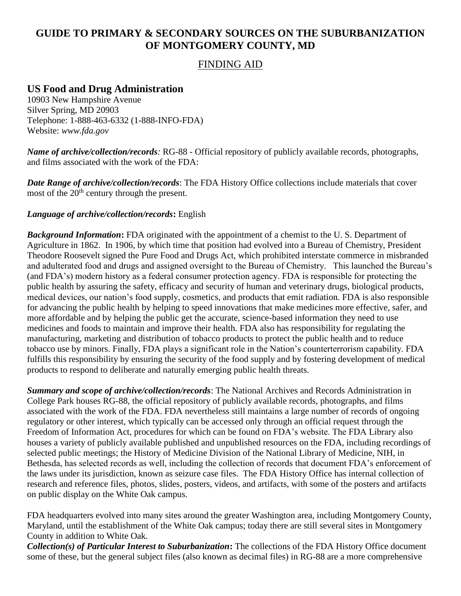# **GUIDE TO PRIMARY & SECONDARY SOURCES ON THE SUBURBANIZATION OF MONTGOMERY COUNTY, MD**

## FINDING AID

## **US Food and Drug Administration**

10903 New Hampshire Avenue Silver Spring, MD 20903 Telephone: 1-888-463-6332 (1-888-INFO-FDA) Website: *www.fda.gov*

*Name of archive/collection/records:* RG-88 - Official repository of publicly available records, photographs, and films associated with the work of the FDA:

*Date Range of archive/collection/records*: The FDA History Office collections include materials that cover most of the  $20<sup>th</sup>$  century through the present.

### *Language of archive/collection/records***:** English

*Background Information***:** FDA originated with the appointment of a chemist to the U. S. Department of Agriculture in 1862. In 1906, by which time that position had evolved into a Bureau of Chemistry, President Theodore Roosevelt signed the Pure Food and Drugs Act, which prohibited interstate commerce in misbranded and adulterated food and drugs and assigned oversight to the Bureau of Chemistry. This launched the Bureau's (and FDA's) modern history as a federal consumer protection agency. FDA is responsible for protecting the public health by assuring the safety, efficacy and security of human and veterinary drugs, biological products, medical devices, our nation's food supply, cosmetics, and products that emit radiation. FDA is also responsible for advancing the public health by helping to speed innovations that make medicines more effective, safer, and more affordable and by helping the public get the accurate, science-based information they need to use medicines and foods to maintain and improve their health. FDA also has responsibility for regulating the manufacturing, marketing and distribution of tobacco products to protect the public health and to reduce tobacco use by minors. Finally, FDA plays a significant role in the Nation's counterterrorism capability. FDA fulfills this responsibility by ensuring the security of the food supply and by fostering development of medical products to respond to deliberate and naturally emerging public health threats.

*Summary and scope of archive/collection/records*: The National Archives and Records Administration in College Park houses RG-88, the official repository of publicly available records, photographs, and films associated with the work of the FDA. FDA nevertheless still maintains a large number of records of ongoing regulatory or other interest, which typically can be accessed only through an official request through the Freedom of Information Act, procedures for which can be found on FDA's website. The FDA Library also houses a variety of publicly available published and unpublished resources on the FDA, including recordings of selected public meetings; the History of Medicine Division of the National Library of Medicine, NIH, in Bethesda, has selected records as well, including the collection of records that document FDA's enforcement of the laws under its jurisdiction, known as seizure case files. The FDA History Office has internal collection of research and reference files, photos, slides, posters, videos, and artifacts, with some of the posters and artifacts on public display on the White Oak campus.

FDA headquarters evolved into many sites around the greater Washington area, including Montgomery County, Maryland, until the establishment of the White Oak campus; today there are still several sites in Montgomery County in addition to White Oak.

*Collection(s) of Particular Interest to Suburbanization***:** The collections of the FDA History Office document some of these, but the general subject files (also known as decimal files) in RG-88 are a more comprehensive